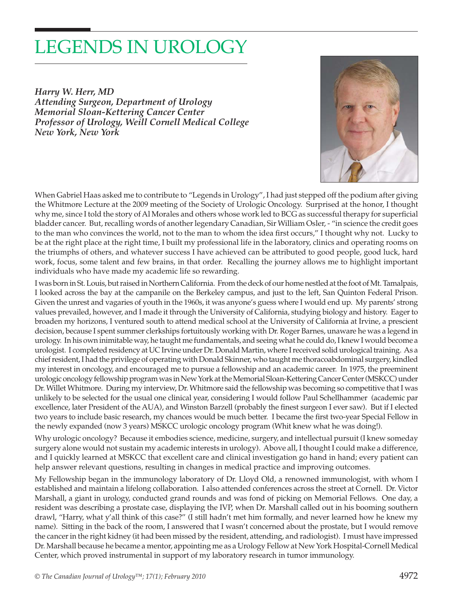## LEGENDS IN UROLOGY

*Harry W. Herr, MD Attending Surgeon, Department of Urology Memorial Sloan-Kettering Cancer Center Professor of Urology, Weill Cornell Medical College New York, New York* 



When Gabriel Haas asked me to contribute to "Legends in Urology", I had just stepped off the podium after giving the Whitmore Lecture at the 2009 meeting of the Society of Urologic Oncology. Surprised at the honor, I thought why me, since I told the story of Al Morales and others whose work led to BCG as successful therapy for superficial bladder cancer. But, recalling words of another legendary Canadian, Sir William Osler, - "in science the credit goes to the man who convinces the world, not to the man to whom the idea first occurs," I thought why not. Lucky to be at the right place at the right time, I built my professional life in the laboratory, clinics and operating rooms on the triumphs of others, and whatever success I have achieved can be attributed to good people, good luck, hard work, focus, some talent and few brains, in that order. Recalling the journey allows me to highlight important individuals who have made my academic life so rewarding.

I was born in St. Louis, but raised in Northern California. From the deck of our home nestled at the foot of Mt. Tamalpais, I looked across the bay at the campanile on the Berkeley campus, and just to the left, San Quinton Federal Prison. Given the unrest and vagaries of youth in the 1960s, it was anyone's guess where I would end up. My parents' strong values prevailed, however, and I made it through the University of California, studying biology and history. Eager to broaden my horizons, I ventured south to attend medical school at the University of California at Irvine, a prescient decision, because I spent summer clerkships fortuitously working with Dr. Roger Barnes, unaware he was a legend in urology. In his own inimitable way, he taught me fundamentals, and seeing what he could do, I knew I would become a urologist. I completed residency at UC Irvine under Dr. Donald Martin, where I received solid urological training. As a chief resident, I had the privilege of operating with Donald Skinner, who taught me thoracoabdominal surgery, kindled my interest in oncology, and encouraged me to pursue a fellowship and an academic career. In 1975, the preeminent urologic oncology fellowship program was in New York at the Memorial Sloan-Kettering Cancer Center (MSKCC) under Dr. Willet Whitmore. During my interview, Dr. Whitmore said the fellowship was becoming so competitive that I was unlikely to be selected for the usual one clinical year, considering I would follow Paul Schellhammer (academic par excellence, later President of the AUA), and Winston Barzell (probably the finest surgeon I ever saw). But if I elected two years to include basic research, my chances would be much better. I became the first two-year Special Fellow in the newly expanded (now 3 years) MSKCC urologic oncology program (Whit knew what he was doing!).

Why urologic oncology? Because it embodies science, medicine, surgery, and intellectual pursuit (I knew someday surgery alone would not sustain my academic interests in urology). Above all, I thought I could make a difference, and I quickly learned at MSKCC that excellent care and clinical investigation go hand in hand; every patient can help answer relevant questions, resulting in changes in medical practice and improving outcomes.

My Fellowship began in the immunology laboratory of Dr. Lloyd Old, a renowned immunologist, with whom I established and maintain a lifelong collaboration. I also attended conferences across the street at Cornell. Dr. Victor Marshall, a giant in urology, conducted grand rounds and was fond of picking on Memorial Fellows. One day, a resident was describing a prostate case, displaying the IVP, when Dr. Marshall called out in his booming southern drawl, "Harry, what y'all think of this case?" (I still hadn't met him formally, and never learned how he knew my name). Sitting in the back of the room, I answered that I wasn't concerned about the prostate, but I would remove the cancer in the right kidney (it had been missed by the resident, attending, and radiologist). I must have impressed Dr. Marshall because he became a mentor, appointing me as a Urology Fellow at New York Hospital-Cornell Medical Center, which proved instrumental in support of my laboratory research in tumor immunology.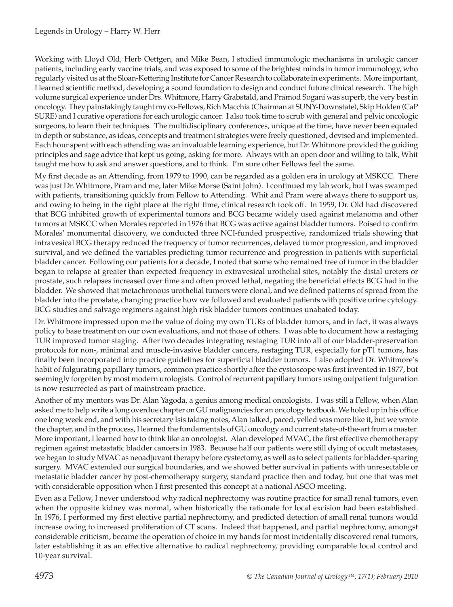Working with Lloyd Old, Herb Oettgen, and Mike Bean, I studied immunologic mechanisms in urologic cancer patients, including early vaccine trials, and was exposed to some of the brightest minds in tumor immunology, who regularly visited us at the Sloan-Kettering Institute for Cancer Research to collaborate in experiments. More important, I learned scientific method, developing a sound foundation to design and conduct future clinical research. The high volume surgical experience under Drs. Whitmore, Harry Grabstald, and Pramod Sogani was superb, the very best in oncology. They painstakingly taught my co-Fellows, Rich Macchia (Chairman at SUNY-Downstate), Skip Holden (CaP SURE) and I curative operations for each urologic cancer. I also took time to scrub with general and pelvic oncologic surgeons, to learn their techniques. The multidisciplinary conferences, unique at the time, have never been equaled in depth or substance, as ideas, concepts and treatment strategies were freely questioned, devised and implemented. Each hour spent with each attending was an invaluable learning experience, but Dr. Whitmore provided the guiding principles and sage advice that kept us going, asking for more. Always with an open door and willing to talk, Whit taught me how to ask and answer questions, and to think. I'm sure other Fellows feel the same.

My first decade as an Attending, from 1979 to 1990, can be regarded as a golden era in urology at MSKCC. There was just Dr. Whitmore, Pram and me, later Mike Morse (Saint John). I continued my lab work, but I was swamped with patients, transitioning quickly from Fellow to Attending. Whit and Pram were always there to support us, and owing to being in the right place at the right time, clinical research took off. In 1959, Dr. Old had discovered that BCG inhibited growth of experimental tumors and BCG became widely used against melanoma and other tumors at MSKCC when Morales reported in 1976 that BCG was active against bladder tumors. Poised to confirm Morales' monumental discovery, we conducted three NCI-funded prospective, randomized trials showing that intravesical BCG therapy reduced the frequency of tumor recurrences, delayed tumor progression, and improved survival, and we defined the variables predicting tumor recurrence and progression in patients with superficial bladder cancer. Following our patients for a decade, I noted that some who remained free of tumor in the bladder began to relapse at greater than expected frequency in extravesical urothelial sites, notably the distal ureters or prostate, such relapses increased over time and often proved lethal, negating the beneficial effects BCG had in the bladder. We showed that metachronous urothelial tumors were clonal, and we defined patterns of spread from the bladder into the prostate, changing practice how we followed and evaluated patients with positive urine cytology. BCG studies and salvage regimens against high risk bladder tumors continues unabated today.

Dr. Whitmore impressed upon me the value of doing my own TURs of bladder tumors, and in fact, it was always policy to base treatment on our own evaluations, and not those of others. I was able to document how a restaging TUR improved tumor staging. After two decades integrating restaging TUR into all of our bladder-preservation protocols for non-, minimal and muscle-invasive bladder cancers, restaging TUR, especially for pT1 tumors, has finally been incorporated into practice guidelines for superficial bladder tumors. I also adopted Dr. Whitmore's habit of fulgurating papillary tumors, common practice shortly after the cystoscope was first invented in 1877, but seemingly forgotten by most modern urologists. Control of recurrent papillary tumors using outpatient fulguration is now resurrected as part of mainstream practice.

Another of my mentors was Dr. Alan Yagoda, a genius among medical oncologists. I was still a Fellow, when Alan asked me to help write a long overdue chapter on GU malignancies for an oncology textbook. We holed up in his office one long week end, and with his secretary Isis taking notes, Alan talked, paced, yelled was more like it, but we wrote the chapter, and in the process, I learned the fundamentals of GU oncology and current state-of-the-art from a master. More important, I learned how to think like an oncologist. Alan developed MVAC, the first effective chemotherapy regimen against metastatic bladder cancers in 1983. Because half our patients were still dying of occult metastases, we began to study MVAC as neoadjuvant therapy before cystectomy, as well as to select patients for bladder-sparing surgery. MVAC extended our surgical boundaries, and we showed better survival in patients with unresectable or metastatic bladder cancer by post-chemotherapy surgery, standard practice then and today, but one that was met with considerable opposition when I first presented this concept at a national ASCO meeting.

Even as a Fellow, I never understood why radical nephrectomy was routine practice for small renal tumors, even when the opposite kidney was normal, when historically the rationale for local excision had been established. In 1976, I performed my first elective partial nephrectomy, and predicted detection of small renal tumors would increase owing to increased proliferation of CT scans. Indeed that happened, and partial nephrectomy, amongst considerable criticism, became the operation of choice in my hands for most incidentally discovered renal tumors, later establishing it as an effective alternative to radical nephrectomy, providing comparable local control and 10-year survival.